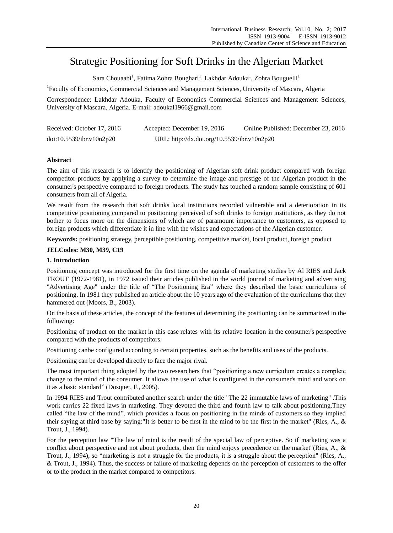# Strategic Positioning for Soft Drinks in the Algerian Market

 $\mathrm{S}$ ara Chouaabi $^{\mathrm{l}}$ , Fatima Zohra Boughari $^{\mathrm{l}}$ , Lakhdar Adouka $^{\mathrm{l}}$ , Zohra Bouguelli $^{\mathrm{l}}$ 

<sup>1</sup>Faculty of Economics, Commercial Sciences and Management Sciences, University of Mascara, Algeria

Correspondence: Lakhdar Adouka, Faculty of Economics Commercial Sciences and Management Sciences, University of Mascara, Algeria. E-mail: adoukal1966@gmail.com

| Received: October 17, 2016 | Accepted: December 19, 2016                 | Online Published: December 23, 2016 |
|----------------------------|---------------------------------------------|-------------------------------------|
| doi:10.5539/ibr.v10n2p20   | URL: http://dx.doi.org/10.5539/ibr.v10n2p20 |                                     |

# **Abstract**

The aim of this research is to identify the positioning of Algerian soft drink product compared with foreign competitor products by applying a survey to determine the image and prestige of the Algerian product in the consumer's perspective compared to foreign products. The study has touched a random sample consisting of 601 consumers from all of Algeria.

We result from the research that soft drinks local institutions recorded vulnerable and a deterioration in its competitive positioning compared to positioning perceived of soft drinks to foreign institutions, as they do not bother to focus more on the dimensions of which are of paramount importance to customers, as opposed to foreign products which differentiate it in line with the wishes and expectations of the Algerian customer.

**Keywords:** positioning strategy, perceptible positioning, competitive market, local product, foreign product

# **JELCodes: M30, M39, C19**

# **1. Introduction**

Positioning concept was introduced for the first time on the agenda of marketing studies by Al RIES and Jack TROUT (1972-1981), in 1972 issued their articles published in the world journal of marketing and advertising "Advertising Age" under the title of "The Positioning Era" where they described the basic curriculums of positioning. In 1981 they published an article about the 10 years ago of the evaluation of the curriculums that they hammered out (Moors, B., 2003).

On the basis of these articles, the concept of the features of determining the positioning can be summarized in the following:

Positioning of product on the market in this case relates with its relative location in the consumer's perspective compared with the products of competitors.

Positioning canbe configured according to certain properties, such as the benefits and uses of the products.

Positioning can be developed directly to face the major rival.

The most important thing adopted by the two researchers that "positioning a new curriculum creates a complete change to the mind of the consumer. It allows the use of what is configured in the consumer's mind and work on it as a basic standard" (Dosquet, F., 2005).

In 1994 RIES and Trout contributed another search under the title "The 22 immutable laws of marketing" .This work carries 22 fixed laws in marketing. They devoted the third and fourth law to talk about positioning.They called "the law of the mind", which provides a focus on positioning in the minds of customers so they implied their saying at third base by saying:"It is better to be first in the mind to be the first in the market" (Ries, A., & Trout, J., 1994).

For the perception law "The law of mind is the result of the special law of perceptive. So if marketing was a conflict about perspective and not about products, then the mind enjoys precedence on the market"(Ries, A., & Trout, J., 1994), so "marketing is not a struggle for the products, it is a struggle about the perception" (Ries, A., & Trout, J., 1994). Thus, the success or failure of marketing depends on the perception of customers to the offer or to the product in the market compared to competitors.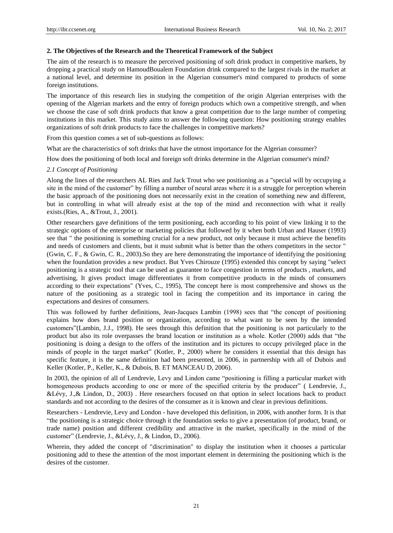#### **2. The Objectives of the Research and the Theoretical Framework of the Subject**

The aim of the research is to measure the perceived positioning of soft drink product in competitive markets, by dropping a practical study on HamoudBoualem Foundation drink compared to the largest rivals in the market at a national level, and determine its position in the Algerian consumer's mind compared to products of some foreign institutions.

The importance of this research lies in studying the competition of the origin Algerian enterprises with the opening of the Algerian markets and the entry of foreign products which own a competitive strength, and when we choose the case of soft drink products that know a great competition due to the large number of competing institutions in this market. This study aims to answer the following question: How positioning strategy enables organizations of soft drink products to face the challenges in competitive markets?

From this question comes a set of sub-questions as follows:

What are the characteristics of soft drinks that have the utmost importance for the Algerian consumer?

How does the positioning of both local and foreign soft drinks determine in the Algerian consumer's mind?

#### *2.1 Concept of Positioning*

Along the lines of the researchers AL Ries and Jack Trout who see positioning as a "special will by occupying a site in the mind of the customer" by filling a number of neural areas where it is a struggle for perception wherein the basic approach of the positioning does not necessarily exist in the creation of something new and different, but in controlling in what will already exist at the top of the mind and reconnection with what it really exists.(Ries, A., &Trout, J., 2001).

Other researchers gave definitions of the term positioning, each according to his point of view linking it to the strategic options of the enterprise or marketing policies that followed by it when both Urban and Hauser (1993) see that " the positioning is something crucial for a new product, not only because it must achieve the benefits and needs of customers and clients, but it must submit what is better than the others competitors in the sector " (Gwin, C. F., & Gwin, C. R., 2003).So they are here demonstrating the importance of identifying the positioning when the foundation provides a new product. But Yves Chirouze (1995) extended this concept by saying "select positioning is a strategic tool that can be used as guarantee to face congestion in terms of products , markets, and advertising, It gives product image differentiates it from competitive products in the minds of consumers according to their expectations" (Yves, C., 1995), The concept here is most comprehensive and shows us the nature of the positioning as a strategic tool in facing the competition and its importance in caring the expectations and desires of consumers.

This was followed by further definitions, Jean-Jacques Lambin (1998) sees that "the concept of positioning explains how does brand position or organization, according to what want to be seen by the intended customers"(Lambin, J.J., 1998). He sees through this definition that the positioning is not particularly to the product but also its role overpasses the brand location or institution as a whole. Kotler (2000) adds that "the positioning is doing a design to the offers of the institution and its pictures to occupy privileged place in the minds of people in the target market" (Kotler, P., 2000) where he considers it essential that this design has specific feature, it is the same definition had been presented, in 2006, in partnership with all of Dubois and Keller (Kotler, P., Keller, K., & Dubois, B. ET MANCEAU D, 2006).

In 2003, the opinion of all of Lendrevie, Levy and Lindon came "positioning is filling a particular market with homogeneous products according to one or more of the specified criteria by the producer" ( Lendrevie, J., &Lévy, J.,& Lindon, D., 2003) . Here researchers focused on that option in select locations back to product standards and not according to the desires of the consumer as it is known and clear in previous definitions.

Researchers - Lendrevie, Levy and London - have developed this definition, in 2006, with another form. It is that "the positioning is a strategic choice through it the foundation seeks to give a presentation (of product, brand, or trade name) position and different credibility and attractive in the market, specifically in the mind of the customer" (Lendrevie, J., &Lévy, J., & Lindon, D., 2006).

Wherein, they added the concept of "discrimination" to display the institution when it chooses a particular positioning add to these the attention of the most important element in determining the positioning which is the desires of the customer.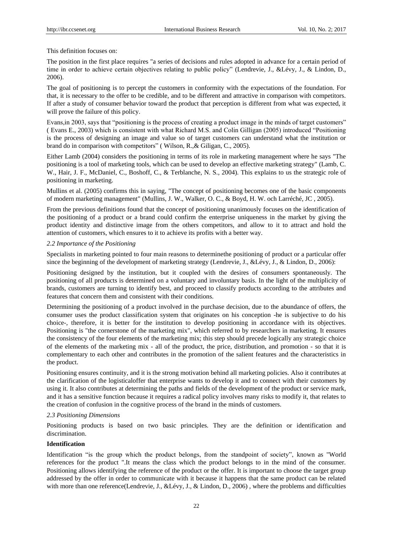This definition focuses on:

The position in the first place requires "a series of decisions and rules adopted in advance for a certain period of time in order to achieve certain objectives relating to public policy" (Lendrevie, J., &Lévy, J., & Lindon, D., 2006).

The goal of positioning is to percept the customers in conformity with the expectations of the foundation. For that, it is necessary to the offer to be credible, and to be different and attractive in comparison with competitors. If after a study of consumer behavior toward the product that perception is different from what was expected, it will prove the failure of this policy.

Evans,in 2003, says that "positioning is the process of creating a product image in the minds of target customers" ( Evans E., 2003) which is consistent with what Richard M.S. and Colin Gilligan (2005) introduced "Positioning is the process of designing an image and value so of target customers can understand what the institution or brand do in comparison with competitors" ( Wilson, R.,& Giligan, C., 2005).

Either Lamb (2004) considers the positioning in terms of its role in marketing management where he says "The positioning is a tool of marketing tools, which can be used to develop an effective marketing strategy" (Lamb, C. W., Hair, J. F., McDaniel, C., Boshoff, C., & Terblanche, N. S., 2004). This explains to us the strategic role of positioning in marketing.

Mullins et al. (2005) confirms this in saying, "The concept of positioning becomes one of the basic components of modern marketing management" (Mullins, J. W., Walker, O. C., & Boyd, H. W. och Larréché, JC , 2005).

From the previous definitions found that the concept of positioning unanimously focuses on the identification of the positioning of a product or a brand could confirm the enterprise uniqueness in the market by giving the product identity and distinctive image from the others competitors, and allow to it to attract and hold the attention of customers, which ensures to it to achieve its profits with a better way.

# *2.2 Importance of the Positioning*

Specialists in marketing pointed to four main reasons to determinethe positioning of product or a particular offer since the beginning of the development of marketing strategy (Lendrevie, J., &L évy, J., & Lindon, D., 2006):

Positioning designed by the institution, but it coupled with the desires of consumers spontaneously. The positioning of all products is determined on a voluntary and involuntary basis. In the light of the multiplicity of brands, customers are turning to identify best, and proceed to classify products according to the attributes and features that concern them and consistent with their conditions.

Determining the positioning of a product involved in the purchase decision, due to the abundance of offers, the consumer uses the product classification system that originates on his conception -he is subjective to do his choice-, therefore, it is better for the institution to develop positioning in accordance with its objectives. Positioning is "the cornerstone of the marketing mix", which referred to by researchers in marketing. It ensures the consistency of the four elements of the marketing mix; this step should precede logically any strategic choice of the elements of the marketing mix - all of the product, the price, distribution, and promotion - so that it is complementary to each other and contributes in the promotion of the salient features and the characteristics in the product.

Positioning ensures continuity, and it is the strong motivation behind all marketing policies. Also it contributes at the clarification of the logisticaloffer that enterprise wants to develop it and to connect with their customers by using it. It also contributes at determining the paths and fields of the development of the product or service mark, and it has a sensitive function because it requires a radical policy involves many risks to modify it, that relates to the creation of confusion in the cognitive process of the brand in the minds of customers.

## *2.3 Positioning Dimensions*

Positioning products is based on two basic principles. They are the definition or identification and discrimination.

# **Identification**

Identification "is the group which the product belongs, from the standpoint of society", known as "World references for the product ".It means the class which the product belongs to in the mind of the consumer. Positioning allows identifying the reference of the product or the offer. It is important to choose the target group addressed by the offer in order to communicate with it because it happens that the same product can be related with more than one reference(Lendrevie, J., &Lévy, J., & Lindon, D., 2006), where the problems and difficulties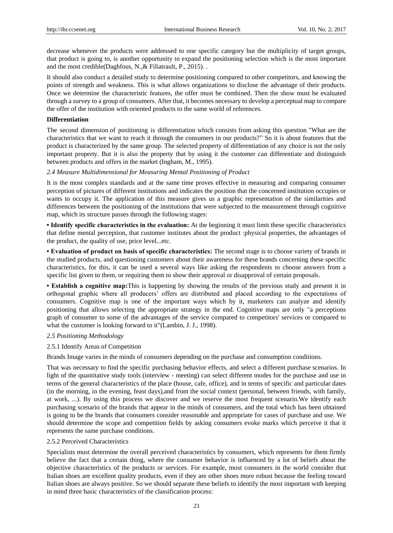decrease whenever the products were addressed to one specific category but the multiplicity of target groups, that product is going to, is another opportunity to expand the positioning selection which is the most important and the most credible(Daghfous, N.,& Filiatrault, P., 2015). .

It should also conduct a detailed study to determine positioning compared to other competitors, and knowing the points of strength and weakness. This is what allows organizations to disclose the advantage of their products. Once we determine the characteristic features, the offer must be combined. Then the show must be evaluated through a survey to a group of consumers. After that, it becomes necessary to develop a perceptual map to compare the offer of the institution with oriented products to the same world of references.

#### **Differentiation**

The second dimension of positioning is differentiation which consists from asking this question "What are the characteristics that we want to reach it through the consumers in our products?" So it is about features that the product is characterized by the same group. The selected property of differentiation of any choice is not the only important property. But it is also the property that by using it the customer can differentiate and distinguish between products and offers in the market (Ingham, M., 1995).

#### *2.4 Measure Multidimensional for Measuring Mental Positioning of Product*

It is the most complex standards and at the same time proves effective in measuring and comparing consumer perception of pictures of different institutions and indicates the position that the concerned institution occupies or wants to occupy it. The application of this measure gives us a graphic representation of the similarities and differences between the positioning of the institutions that were subjected to the measurement through cognitive map, which its structure passes through the following stages:

**• Identify specific characteristics in the evaluation:** At the beginning it must limit these specific characteristics that define mental perception, that customer institutes about the product :physical properties, the advantages of the product, the quality of use, price level...etc.

**• Evaluation of product on basis of specific characteristics:** The second stage is to choose variety of brands in the studied products, and questioning customers about their awareness for these brands concerning these specific characteristics, for this, it can be used a several ways like asking the respondents to choose answers from a specific list given to them, or requiring them to show their approval or disapproval of certain proposals.

**• Establish a cognitive map:**This is happening by showing the results of the previous study and present it in orthogonal graphic where all producers' offers are distributed and placed according to the expectations of consumers. Cognitive map is one of the important ways which by it, marketers can analyze and identify positioning that allows selecting the appropriate strategy in the end. Cognitive maps are only "a perceptions graph of consumer to some of the advantages of the service compared to competitors' services or compared to what the customer is looking forward to it"(Lambin, J. J., 1998).

#### *2.5 Positioning Methodology*

#### 2.5.1 Identify Areas of Competition

Brands Image varies in the minds of consumers depending on the purchase and consumption conditions.

That was necessary to find the specific purchasing behavior effects, and select a different purchase scenarios. In light of the quantitative study tools (interview - meeting) can select different modes for the purchase and use in terms of the general characteristics of the place (house, cafe, office), and in terms of specific and particular dates (in the morning, in the evening, feast days),and from the social context (personal, between friends, with family, at work, ...). By using this process we discover and we reserve the most frequent scenario.We identify each purchasing scenario of the brands that appear in the minds of consumers, and the total which has been obtained is going to be the brands that consumers consider reasonable and appropriate for cases of purchase and use. We should determine the scope and competition fields by asking consumers evoke marks which perceive it that it represents the same purchase conditions.

#### 2.5.2 Perceived Characteristics

Specialists must determine the overall perceived characteristics by consumers, which represents for them firmly believe the fact that a certain thing, where the consumer behavior is influenced by a lot of beliefs about the objective characteristics of the products or services. For example, most consumers in the world consider that Italian shoes are excellent quality products, even if they are other shoes more robust because the feeling toward Italian shoes are always positive. So we should separate these beliefs to identify the most important with keeping in mind three basic characteristics of the classification process: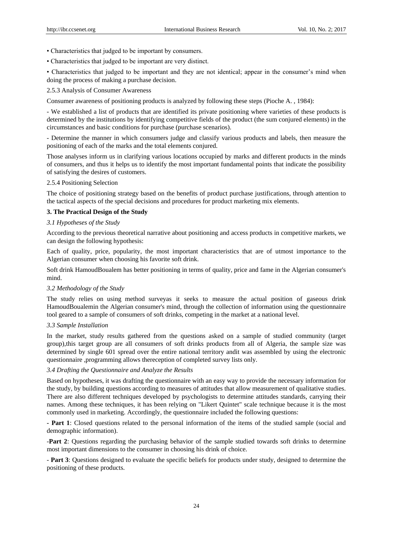- Characteristics that judged to be important by consumers.
- Characteristics that judged to be important are very distinct.

• Characteristics that judged to be important and they are not identical; appear in the consumer's mind when doing the process of making a purchase decision.

2.5.3 Analysis of Consumer Awareness

Consumer awareness of positioning products is analyzed by following these steps (Pioche A. , 1984):

- We established a list of products that are identified its private positioning where varieties of these products is determined by the institutions by identifying competitive fields of the product (the sum conjured elements) in the circumstances and basic conditions for purchase (purchase scenarios).

- Determine the manner in which consumers judge and classify various products and labels, then measure the positioning of each of the marks and the total elements conjured.

Those analyses inform us in clarifying various locations occupied by marks and different products in the minds of consumers, and thus it helps us to identify the most important fundamental points that indicate the possibility of satisfying the desires of customers.

#### 2.5.4 Positioning Selection

The choice of positioning strategy based on the benefits of product purchase justifications, through attention to the tactical aspects of the special decisions and procedures for product marketing mix elements.

#### **3. The Practical Design of the Study**

#### *3.1 Hypotheses of the Study*

According to the previous theoretical narrative about positioning and access products in competitive markets, we can design the following hypothesis:

Each of quality, price, popularity, the most important characteristics that are of utmost importance to the Algerian consumer when choosing his favorite soft drink.

Soft drink HamoudBoualem has better positioning in terms of quality, price and fame in the Algerian consumer's mind.

## *3.2 Methodology of the Study*

The study relies on using method surveyas it seeks to measure the actual position of gaseous drink HamoudBoualemin the Algerian consumer's mind, through the collection of information using the questionnaire tool geared to a sample of consumers of soft drinks, competing in the market at a national level.

#### *3.3 Sample Installation*

In the market, study results gathered from the questions asked on a sample of studied community (target group),this target group are all consumers of soft drinks products from all of Algeria, the sample size was determined by single 601 spread over the entire national territory andit was assembled by using the electronic questionnaire ,programming allows thereception of completed survey lists only.

# *3.4 Drafting the Questionnaire and Analyze the Results*

Based on hypotheses, it was drafting the questionnaire with an easy way to provide the necessary information for the study, by building questions according to measures of attitudes that allow measurement of qualitative studies. There are also different techniques developed by psychologists to determine attitudes standards, carrying their names. Among these techniques, it has been relying on "Likert Quintet" scale technique because it is the most commonly used in marketing. Accordingly, the questionnaire included the following questions:

**- Part 1**: Closed questions related to the personal information of the items of the studied sample (social and demographic information).

-**Part 2**: Questions regarding the purchasing behavior of the sample studied towards soft drinks to determine most important dimensions to the consumer in choosing his drink of choice.

- **Part 3**: Questions designed to evaluate the specific beliefs for products under study, designed to determine the positioning of these products.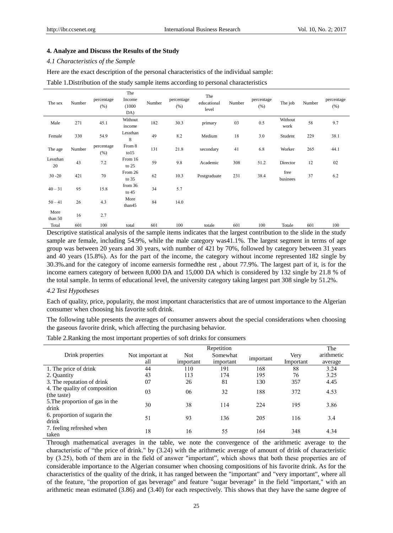#### **4. Analyze and Discuss the Results of the Study**

#### *4.1 Characteristics of the Sample*

Here are the exact description of the personal characteristics of the individual sample:

## Table 1.Distribution of the study sample items according to personal characteristics

| The sex         | Number | percentage<br>(% ) | The<br>Income<br>(1000)<br>DA) | Number | percentage<br>(% ) | The<br>educational<br>level | Number | percentage<br>(% ) | The job          | Number | percentage<br>(% ) |
|-----------------|--------|--------------------|--------------------------------|--------|--------------------|-----------------------------|--------|--------------------|------------------|--------|--------------------|
| Male            | 271    | 45.1               | Without<br>income              | 182    | 30.3               | primary                     | 03     | 0.5                | Without<br>work  | 58     | 9.7                |
| Female          | 330    | 54.9               | Lessthan<br>8                  | 49     | 8.2                | Medium                      | 18     | 3.0                | Student          | 229    | 38.1               |
| The age         | Number | percentage<br>(% ) | From 8<br>to 15                | 131    | 21.8               | secondary                   | 41     | 6.8                | Worker           | 265    | 44.1               |
| Lessthan<br>20  | 43     | 7.2                | From 16<br>to $25$             | 59     | 9.8                | Academic                    | 308    | 51.2               | Director         | 12     | 02                 |
| $30 - 20$       | 421    | 70                 | From 26<br>to $35$             | 62     | 10.3               | Postgraduate                | 231    | 38.4               | free<br>businees | 37     | 6.2                |
| $40 - 31$       | 95     | 15.8               | from 36<br>to $45$             | 34     | 5.7                |                             |        |                    |                  |        |                    |
| $50 - 41$       | 26     | 4.3                | More<br>than45                 | 84     | 14.0               |                             |        |                    |                  |        |                    |
| More<br>than 50 | 16     | 2.7                |                                |        |                    |                             |        |                    |                  |        |                    |
| Total           | 601    | 100                | total                          | 601    | 100                | totale                      | 601    | 100                | Totale           | 601    | 100                |

Descriptive statistical analysis of the sample items indicates that the largest contribution to the slide in the study sample are female, including 54.9%, while the male category was41.1%. The largest segment in terms of age group was between 20 years and 30 years, with number of 421 by 70%, followed by category between 31 years and 40 years (15.8%). As for the part of the income, the category without income represented 182 single by 30.3%.and for the category of income earnersis formedthe rest , about 77.9%. The largest part of it, is for the income earners category of between 8,000 DA and 15,000 DA which is considered by 132 single by 21.8 % of the total sample. In terms of educational level, the university category taking largest part 308 single by 51.2%.

#### *4.2 Test Hypotheses*

Each of quality, price, popularity, the most important characteristics that are of utmost importance to the Algerian consumer when choosing his favorite soft drink.

The following table presents the averages of consumer answers about the special considerations when choosing the gaseous favorite drink, which affecting the purchasing behavior.

Table 2.Ranking the most important properties of soft drinks for consumers

|                                              |                  | The        |           |           |           |            |
|----------------------------------------------|------------------|------------|-----------|-----------|-----------|------------|
| Drink properties                             | Not important at | <b>Not</b> | Somewhat  | important | Very      | arithmetic |
|                                              | all              | important  | important |           | Important | average    |
| 1. The price of drink                        | 44               | 110        | 191       | 168       | 88        | 3.24       |
| 2. Quantity                                  | 43               | 113        | 174       | 195       | 76        | 3.25       |
| 3. The reputation of drink                   | 07               | 26         | 81        | 130       | 357       | 4.45       |
| 4. The quality of composition<br>(the taste) | 03               | 06         | 32        | 188       | 372       | 4.53       |
| 5. The proportion of gas in the<br>drink     | 30               | 38         | 114       | 224       | 195       | 3.86       |
| 6. proportion of sugarin the<br>drink        | 51               | 93         | 136       | 205       | 116       | 3.4        |
| 7. feeling refreshed when<br>taken           | 18               | 16         | 55        | 164       | 348       | 4.34       |

Through mathematical averages in the table, we note the convergence of the arithmetic average to the characteristic of "the price of drink." by (3.24) with the arithmetic average of amount of drink of characteristic by (3.25), both of them are in the field of answer "important", which shows that both these properties are of considerable importance to the Algerian consumer when choosing compositions of his favorite drink. As for the characteristics of the quality of the drink, it has ranged between the "important" and "very important", where all of the feature, "the proportion of gas beverage" and feature "sugar beverage" in the field "important," with an arithmetic mean estimated (3.86) and (3.40) for each respectively. This shows that they have the same degree of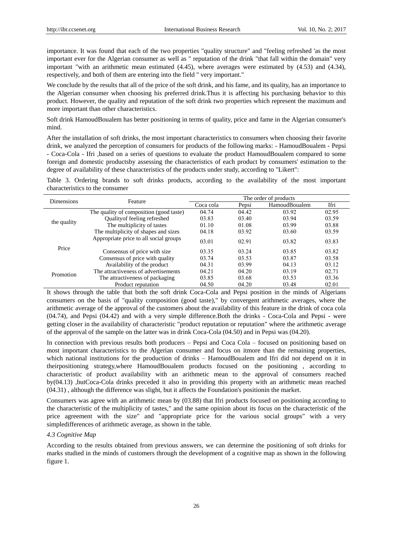importance. It was found that each of the two properties "quality structure" and "feeling refreshed 'as the most important ever for the Algerian consumer as well as " reputation of the drink "that fall within the domain" very important "with an arithmetic mean estimated (4.45), where averages were estimated by (4.53) and (4.34), respectively, and both of them are entering into the field " very important."

We conclude by the results that all of the price of the soft drink, and his fame, and its quality, has an importance to the Algerian consumer when choosing his preferred drink.Thus it is affecting his purchasing behavior to this product. However, the quality and reputation of the soft drink two properties which represent the maximum and more important than other characteristics.

Soft drink HamoudBoualem has better positioning in terms of quality, price and fame in the Algerian consumer's mind.

After the installation of soft drinks, the most important characteristics to consumers when choosing their favorite drink, we analyzed the perception of consumers for products of the following marks: - HamoudBoualem - Pepsi - Coca-Cola - Ifri ,based on a series of questions to evaluate the product HamoudBoualem compared to some foreign and domestic productsby assessing the characteristics of each product by consumers' estimation to the degree of availability of these characteristics of the products under study, according to "Likert":

Table 3. Ordering brands to soft drinks products, according to the availability of the most important characteristics to the consumer

| <b>Dimensions</b> | Feature                                 | The order of products |       |               |       |  |  |
|-------------------|-----------------------------------------|-----------------------|-------|---------------|-------|--|--|
|                   |                                         | Coca cola             | Pepsi | HamoudBoualem | Ifri  |  |  |
|                   | The quality of composition (good taste) | 04.74                 | 04.42 | 03.92         | 02.95 |  |  |
| the quality       | <b>Ouality of feeling refreshed</b>     | 03.83                 | 03.40 | 03.94         | 03.59 |  |  |
|                   | The multiplicity of tastes              | 01.10                 | 01.08 | 03.99         | 03.88 |  |  |
|                   | The multiplicity of shapes and sizes    | 04.18                 | 03.92 | 03.60         | 03.59 |  |  |
| Price             | Appropriate price to all social groups  | 03.01                 | 02.91 | 03.82         | 03.83 |  |  |
|                   | Consensus of price with size            | 03.35                 | 03.24 | 03.85         | 03.82 |  |  |
|                   | Consensus of price with quality         | 03.74                 | 03.53 | 03.87         | 03.58 |  |  |
| Promotion         | Availability of the product             | 04.31                 | 03.99 | 04.13         | 03.12 |  |  |
|                   | The attractiveness of advertisements    | 04.21                 | 04.20 | 03.19         | 02.71 |  |  |
|                   | The attractiveness of packaging         | 03.85                 | 03.68 | 03.53         | 03.36 |  |  |
|                   | Product reputation                      | 04.50                 | 04.20 | 03.48         | 02.01 |  |  |

It shows through the table that both the soft drink Coca-Cola and Pepsi position in the minds of Algerians consumers on the basis of "quality composition (good taste)," by convergent arithmetic averages, where the arithmetic average of the approval of the customers about the availability of this feature in the drink of coca cola (04.74), and Pepsi (04.42) and with a very simple difference.Both the drinks - Coca-Cola and Pepsi - were getting closer in the availability of characteristic "product reputation or reputation" where the arithmetic average of the approval of the sample on the latter was in drink Coca-Cola (04.50) and in Pepsi was (04.20).

[In connection with](javascript:void(0);) previous results both producers – Pepsi and Coca Cola – focused on positioning based on most important characteristics to the Algerian consumer and focus on itmore than the remaining properties, which national institutions for the production of drinks – HamoudBoualem and Ifri did not depend on it in theirpositioning [strategy,](javascript:void(0);)where HamoudBoualem products focused on the positioning , according to characteristic of product availability with an arithmetic mean to the approval of consumers reached by(04.13) ,butCoca-Cola drinks preceded it also in providing this property with an arithmetic mean reached (04.31) , although the difference was slight, but it affects the Foundation's positionin the market.

Consumers was agree with an arithmetic mean by (03.88) that Ifri products focused on positioning according to the characteristic of the multiplicity of [tastes,"](javascript:void(0);) and the same opinion about its focus on the characteristic of the price agreement with the size" and "appropriate price for the various social groups" with a very simpledifferences of arithmetic average, [as shown in the table.](javascript:void(0);)

## *4.3 Cognitive Map*

According to the results obtained from previous answers, we can determine the positioning of soft drinks for marks studied in the minds of customers through the development of a cognitive map as shown in the following figure 1.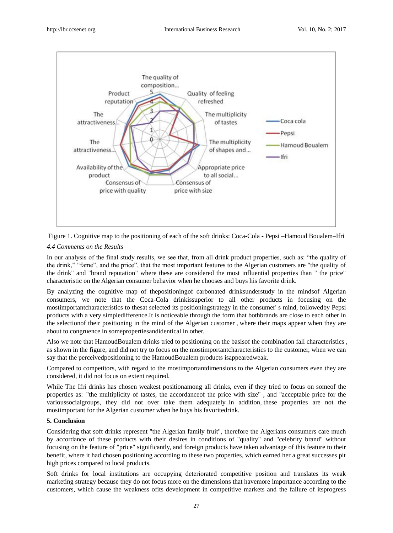



In our analysis of the final study results, we see that, from all drink product properties, such as: "the quality of the drink," "fame", and the price", that the most important features to the Algerian customers are "the quality of the drink" and "brand reputation" where these are considered the most influential properties than " the price" characteristic on the Algerian consumer behavior when he chooses and buys his favorite drink.

By analyzing the cognitive map of th[epositioningof](javascript:void(0);) carbonated [drinksunderstudy](javascript:void(0);) in the [mindsof](javascript:void(0);) Algerian [consumers,](javascript:void(0);) we note that the Coca-Cola [drinkissuperior](javascript:void(0);) to all other products in [focusing](javascript:void(0);) on the [mostimportantcharacteristics](javascript:void(0);) to thesat selected its [positioningstrategy](javascript:void(0);) in the [consumer'](javascript:void(0);) s [mind, followedby](javascript:void(0);) Pepsi products with a very [simpledifference.](javascript:void(0);)It [is](javascript:void(0);) noticeable through the [form](javascript:void(0);) that [bothbrands](javascript:void(0);) are [close](javascript:void(0);) to each other in the [selectionof](javascript:void(0);) their [positioning](javascript:void(0);) in the mind of the Algerian [customer](javascript:void(0);) , where their maps appear when they are about to [congruence](javascript:void(0);) in [somepropertiesandidentical](javascript:void(0);) i[n other.](javascript:void(0);)

Also w[e note](javascript:void(0);) that HamoudBoualem drinks tried to [positioning](javascript:void(0);) on th[e basisof](javascript:void(0);) the combination fal[l characteristics](javascript:void(0);) , as [shown](javascript:void(0);) in th[e figure,](javascript:void(0);) and did not [try](javascript:void(0);) to [focus](javascript:void(0);) on th[e mostimportantcharacteristics](javascript:void(0);) to the [customer,](javascript:void(0);) when w[e can](javascript:void(0);) say that the [perceivedpositioning](javascript:void(0);) to the HamoudBoualem products [isappearedweak.](javascript:void(0);)

[Compared](javascript:void(0);) to [competitors,](javascript:void(0);) with [regard](javascript:void(0);) to the [mostimportantdimensions](javascript:void(0);) to the Algerian [consumers](javascript:void(0);) even they are [considered,](javascript:void(0);) it [did](javascript:void(0);) not [focus](javascript:void(0);) on extent required.

While The Ifri [drinks](javascript:void(0);) [has](javascript:void(0);) chosen weakest [positiona](javascript:void(0);)mong all [drinks, even](javascript:void(0);) if they tried to [focus](javascript:void(0);) on [someof](javascript:void(0);) the [properties](javascript:void(0);) as: "the multiplicity [of](javascript:void(0);) [tastes,](javascript:void(0);) the [accordanceof](javascript:void(0);) the price with [size"](javascript:void(0);) , [and](javascript:void(0);) ["acceptable](javascript:void(0);) [price](javascript:void(0);) for the [varioussocialgroups,](javascript:void(0);) they [did](javascript:void(0);) not [over take](javascript:void(0);) them [adequately](javascript:void(0);) .in [addition,](javascript:void(0);) these [properties](javascript:void(0);) are not the [mostimportant](javascript:void(0);) for the Algeria[n customer](javascript:void(0);) when he [buys](javascript:void(0);) his [favoritedrink.](javascript:void(0);)

# **5. Conclusion**

Considering that soft drinks represent "the Algerian family fruit", therefore the Algerians consumers care much by accordance of these products with their desires in conditions of "quality" and "celebrity brand" without focusing on the feature of "price" significantly, and foreign products have taken advantage of this feature to their benefit, where it had chosen positioning according to these two properties, which earned her a great successes pit high prices compared to local products.

Soft drinks for local institutions are occupying deteriorated competitive position and translates its weak marketing strategy because they do not focus more on the dimensions that havemore importance according to the customers, which cause the weakness ofits development in competitive markets and the failure of itsprogress